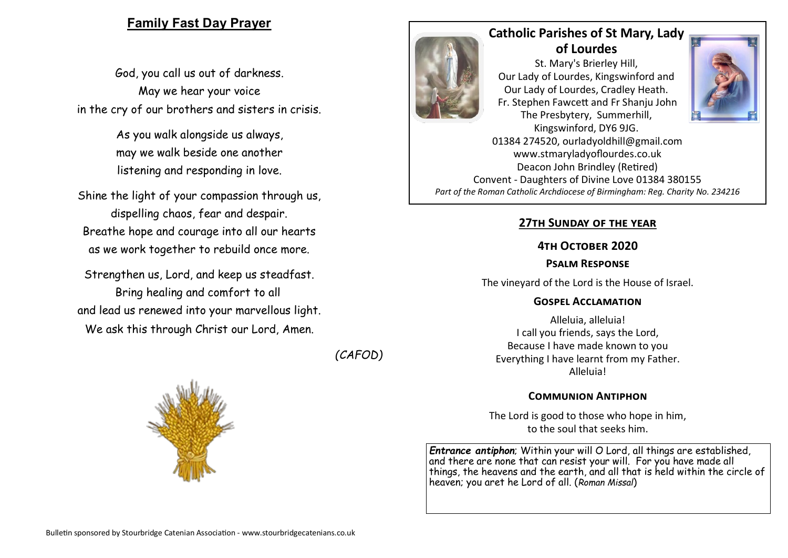## **Family Fast Day Prayer**

God, you call us out of darkness. May we hear your voice in the cry of our brothers and sisters in crisis.

> As you walk alongside us always, may we walk beside one another listening and responding in love.

Shine the light of your compassion through us, dispelling chaos, fear and despair. Breathe hope and courage into all our hearts as we work together to rebuild once more.

Strengthen us, Lord, and keep us steadfast. Bring healing and comfort to all and lead us renewed into your marvellous light. We ask this through Christ our Lord, Amen.







# **Catholic Parishes of St Mary, Lady of Lourdes**

St. Mary's Brierley Hill, Our Lady of Lourdes, Kingswinford and Our Lady of Lourdes, Cradley Heath. Fr. Stephen Fawcett and Fr Shanju John The Presbytery, Summerhill, Kingswinford, DY6 9JG.



01384 274520, ourladyoldhill@gmail.com www.stmaryladyoflourdes.co.uk Deacon John Brindley (Retired) Convent - Daughters of Divine Love 01384 380155 *Part of the Roman Catholic Archdiocese of Birmingham: Reg. Charity No. 234216*

### **27th Sunday of the year**

#### **4th October 2020**

#### **Psalm Response**

The vineyard of the Lord is the House of Israel.

#### **Gospel Acclamation**

Alleluia, alleluia! I call you friends, says the Lord, Because I have made known to you Everything I have learnt from my Father. Alleluia!

#### **Communion Antiphon**

The Lord is good to those who hope in him, to the soul that seeks him.

*Entrance antiphon*; Within your will O Lord, all things are established, and there are none that can resist your will. For you have made all things, the heavens and the earth, and all that is held within the circle of heaven; you aret he Lord of all. (*Roman Missal*)